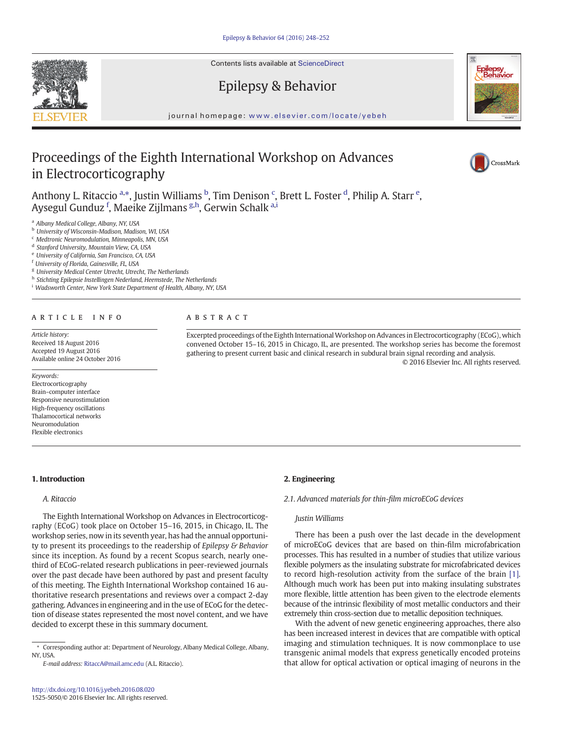Contents lists available at ScienceDirect

# Epilepsy & Behavior

journal homepage: <www.elsevier.com/locate/yebeh>

# Proceedings of the Eighth International Workshop on Advances in Electrocorticography

Anthony L. Ritaccio <sup>a,\*</sup>, Justin Williams <sup>b</sup>, Tim Denison <sup>c</sup>, Brett L. Foster <sup>d</sup>, Philip A. Starr <sup>e</sup>, Aysegul Gunduz <sup>f</sup>, Maeike Zijlmans <sup>g,h</sup>, Gerwin Schalk <sup>a,i</sup>

<sup>a</sup> Albany Medical College, Albany, NY, USA

<sup>b</sup> University of Wisconsin-Madison, Madison, WI, USA

<sup>c</sup> Medtronic Neuromodulation, Minneapolis, MN, USA

<sup>d</sup> Stanford University, Mountain View, CA, USA

<sup>e</sup> University of California, San Francisco, CA, USA

<sup>f</sup> University of Florida, Gainesville, FL, USA

<sup>g</sup> University Medical Center Utrecht, Utrecht, The Netherlands

h Stichting Epilepsie Instellingen Nederland, Heemstede, The Netherlands

<sup>i</sup> Wadsworth Center, New York State Department of Health, Albany, NY, USA

# article info abstract

Article history: Received 18 August 2016 Accepted 19 August 2016 Available online 24 October 2016

#### Keywords:

Electrocorticography Brain–computer interface Responsive neurostimulation High-frequency oscillations Thalamocortical networks Neuromodulation Flexible electronics

# 1. Introduction

# A. Ritaccio

The Eighth International Workshop on Advances in Electrocorticography (ECoG) took place on October 15–16, 2015, in Chicago, IL. The workshop series, now in its seventh year, has had the annual opportunity to present its proceedings to the readership of Epilepsy & Behavior since its inception. As found by a recent Scopus search, nearly onethird of ECoG-related research publications in peer-reviewed journals over the past decade have been authored by past and present faculty of this meeting. The Eighth International Workshop contained 16 authoritative research presentations and reviews over a compact 2-day gathering. Advances in engineering and in the use of ECoG for the detection of disease states represented the most novel content, and we have decided to excerpt these in this summary document.

E-mail address: [RitaccA@mail.amc.edu](mailto:RitaccA@mail.amc.edu) (A.L. Ritaccio).

Excerpted proceedings of the Eighth International Workshop on Advances in Electrocorticography (ECoG), which convened October 15–16, 2015 in Chicago, IL, are presented. The workshop series has become the foremost gathering to present current basic and clinical research in subdural brain signal recording and analysis. © 2016 Elsevier Inc. All rights reserved.

# 2. Engineering

2.1. Advanced materials for thin-film microECoG devices

# Justin Williams

There has been a push over the last decade in the development of microECoG devices that are based on thin-film microfabrication processes. This has resulted in a number of studies that utilize various flexible polymers as the insulating substrate for microfabricated devices to record high-resolution activity from the surface of the brain [\[1\].](#page-4-0) Although much work has been put into making insulating substrates more flexible, little attention has been given to the electrode elements because of the intrinsic flexibility of most metallic conductors and their extremely thin cross-section due to metallic deposition techniques.

With the advent of new genetic engineering approaches, there also has been increased interest in devices that are compatible with optical imaging and stimulation techniques. It is now commonplace to use transgenic animal models that express genetically encoded proteins that allow for optical activation or optical imaging of neurons in the







<sup>⁎</sup> Corresponding author at: Department of Neurology, Albany Medical College, Albany, NY, USA.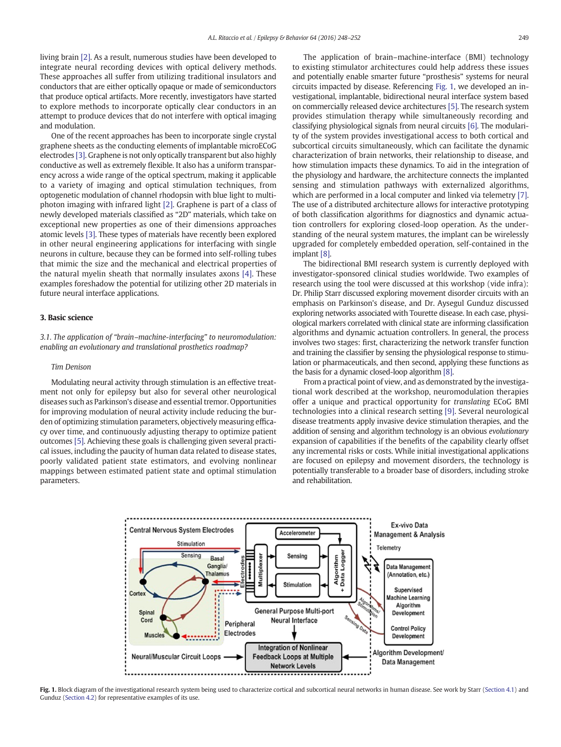living brain [\[2\].](#page-4-0) As a result, numerous studies have been developed to integrate neural recording devices with optical delivery methods. These approaches all suffer from utilizing traditional insulators and conductors that are either optically opaque or made of semiconductors that produce optical artifacts. More recently, investigators have started to explore methods to incorporate optically clear conductors in an attempt to produce devices that do not interfere with optical imaging and modulation.

One of the recent approaches has been to incorporate single crystal graphene sheets as the conducting elements of implantable microECoG electrodes [\[3\]](#page-4-0). Graphene is not only optically transparent but also highly conductive as well as extremely flexible. It also has a uniform transparency across a wide range of the optical spectrum, making it applicable to a variety of imaging and optical stimulation techniques, from optogenetic modulation of channel rhodopsin with blue light to multiphoton imaging with infrared light [\[2\]](#page-4-0). Graphene is part of a class of newly developed materials classified as "2D" materials, which take on exceptional new properties as one of their dimensions approaches atomic levels [\[3\].](#page-4-0) These types of materials have recently been explored in other neural engineering applications for interfacing with single neurons in culture, because they can be formed into self-rolling tubes that mimic the size and the mechanical and electrical properties of the natural myelin sheath that normally insulates axons [\[4\].](#page-4-0) These examples foreshadow the potential for utilizing other 2D materials in future neural interface applications.

### 3. Basic science

3.1. The application of "brain–machine-interfacing" to neuromodulation: enabling an evolutionary and translational prosthetics roadmap?

# Tim Denison

Modulating neural activity through stimulation is an effective treatment not only for epilepsy but also for several other neurological diseases such as Parkinson's disease and essential tremor. Opportunities for improving modulation of neural activity include reducing the burden of optimizing stimulation parameters, objectively measuring efficacy over time, and continuously adjusting therapy to optimize patient outcomes [\[5\].](#page-4-0) Achieving these goals is challenging given several practical issues, including the paucity of human data related to disease states, poorly validated patient state estimators, and evolving nonlinear mappings between estimated patient state and optimal stimulation parameters.

The application of brain–machine-interface (BMI) technology to existing stimulator architectures could help address these issues and potentially enable smarter future "prosthesis" systems for neural circuits impacted by disease. Referencing Fig. 1, we developed an investigational, implantable, bidirectional neural interface system based on commercially released device architectures [\[5\].](#page-4-0) The research system provides stimulation therapy while simultaneously recording and classifying physiological signals from neural circuits [\[6\].](#page-4-0) The modularity of the system provides investigational access to both cortical and subcortical circuits simultaneously, which can facilitate the dynamic characterization of brain networks, their relationship to disease, and how stimulation impacts these dynamics. To aid in the integration of the physiology and hardware, the architecture connects the implanted sensing and stimulation pathways with externalized algorithms, which are performed in a local computer and linked via telemetry [\[7\].](#page-4-0) The use of a distributed architecture allows for interactive prototyping of both classification algorithms for diagnostics and dynamic actuation controllers for exploring closed-loop operation. As the understanding of the neural system matures, the implant can be wirelessly upgraded for completely embedded operation, self-contained in the implant [\[8\]](#page-4-0).

The bidirectional BMI research system is currently deployed with investigator-sponsored clinical studies worldwide. Two examples of research using the tool were discussed at this workshop (vide infra): Dr. Philip Starr discussed exploring movement disorder circuits with an emphasis on Parkinson's disease, and Dr. Aysegul Gunduz discussed exploring networks associated with Tourette disease. In each case, physiological markers correlated with clinical state are informing classification algorithms and dynamic actuation controllers. In general, the process involves two stages: first, characterizing the network transfer function and training the classifier by sensing the physiological response to stimulation or pharmaceuticals, and then second, applying these functions as the basis for a dynamic closed-loop algorithm [\[8\]](#page-4-0).

From a practical point of view, and as demonstrated by the investigational work described at the workshop, neuromodulation therapies offer a unique and practical opportunity for translating ECoG BMI technologies into a clinical research setting [\[9\].](#page-4-0) Several neurological disease treatments apply invasive device stimulation therapies, and the addition of sensing and algorithm technology is an obvious evolutionary expansion of capabilities if the benefits of the capability clearly offset any incremental risks or costs. While initial investigational applications are focused on epilepsy and movement disorders, the technology is potentially transferable to a broader base of disorders, including stroke and rehabilitation.



Fig. 1. Block diagram of the investigational research system being used to characterize cortical and subcortical neural networks in human disease. See work by Starr [\(Section 4.1](#page-2-0)) and Gunduz [\(Section 4.2\)](#page-3-0) for representative examples of its use.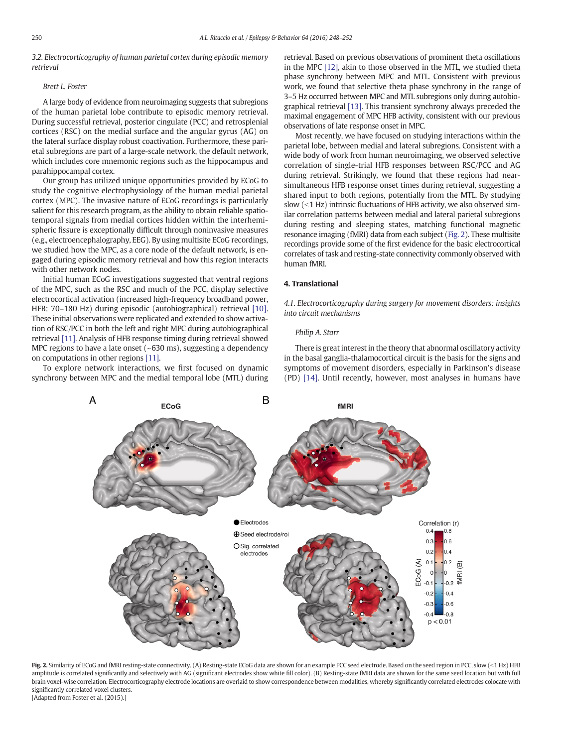<span id="page-2-0"></span>3.2. Electrocorticography of human parietal cortex during episodic memory retrieval

### Brett L. Foster

A large body of evidence from neuroimaging suggests that subregions of the human parietal lobe contribute to episodic memory retrieval. During successful retrieval, posterior cingulate (PCC) and retrosplenial cortices (RSC) on the medial surface and the angular gyrus (AG) on the lateral surface display robust coactivation. Furthermore, these parietal subregions are part of a large-scale network, the default network, which includes core mnemonic regions such as the hippocampus and parahippocampal cortex.

Our group has utilized unique opportunities provided by ECoG to study the cognitive electrophysiology of the human medial parietal cortex (MPC). The invasive nature of ECoG recordings is particularly salient for this research program, as the ability to obtain reliable spatiotemporal signals from medial cortices hidden within the interhemispheric fissure is exceptionally difficult through noninvasive measures (e.g., electroencephalography, EEG). By using multisite ECoG recordings, we studied how the MPC, as a core node of the default network, is engaged during episodic memory retrieval and how this region interacts with other network nodes.

Initial human ECoG investigations suggested that ventral regions of the MPC, such as the RSC and much of the PCC, display selective electrocortical activation (increased high-frequency broadband power, HFB: 70–180 Hz) during episodic (autobiographical) retrieval [\[10\].](#page-4-0) These initial observations were replicated and extended to show activation of RSC/PCC in both the left and right MPC during autobiographical retrieval [\[11\].](#page-4-0) Analysis of HFB response timing during retrieval showed MPC regions to have a late onset (~630 ms), suggesting a dependency on computations in other regions [\[11\].](#page-4-0)

To explore network interactions, we first focused on dynamic synchrony between MPC and the medial temporal lobe (MTL) during retrieval. Based on previous observations of prominent theta oscillations in the MPC [\[12\],](#page-4-0) akin to those observed in the MTL, we studied theta phase synchrony between MPC and MTL. Consistent with previous work, we found that selective theta phase synchrony in the range of 3–5 Hz occurred between MPC and MTL subregions only during autobiographical retrieval [\[13\].](#page-4-0) This transient synchrony always preceded the maximal engagement of MPC HFB activity, consistent with our previous observations of late response onset in MPC.

Most recently, we have focused on studying interactions within the parietal lobe, between medial and lateral subregions. Consistent with a wide body of work from human neuroimaging, we observed selective correlation of single-trial HFB responses between RSC/PCC and AG during retrieval. Strikingly, we found that these regions had nearsimultaneous HFB response onset times during retrieval, suggesting a shared input to both regions, potentially from the MTL. By studying slow  $(< 1$  Hz) intrinsic fluctuations of HFB activity, we also observed similar correlation patterns between medial and lateral parietal subregions during resting and sleeping states, matching functional magnetic resonance imaging (fMRI) data from each subject (Fig. 2). These multisite recordings provide some of the first evidence for the basic electrocortical correlates of task and resting-state connectivity commonly observed with human fMRI.

# 4. Translational

4.1. Electrocorticography during surgery for movement disorders: insights into circuit mechanisms

#### Philip A. Starr

There is great interest in the theory that abnormal oscillatory activity in the basal ganglia-thalamocortical circuit is the basis for the signs and symptoms of movement disorders, especially in Parkinson's disease (PD) [\[14\]](#page-4-0). Until recently, however, most analyses in humans have



Fig. 2. Similarity of ECoG and fMRI resting-state connectivity. (A) Resting-state ECoG data are shown for an example PCC seed electrode. Based on the seed region in PCC, slow (<1 Hz) HFB amplitude is correlated significantly and selectively with AG (significant electrodes show white fill color). (B) Resting-state fMRI data are shown for the same seed location but with full brain voxel-wise correlation. Electrocorticography electrode locations are overlaid to show correspondence between modalities, whereby significantly correlated electrodes colocate with significantly correlated voxel clusters. [Adapted from Foster et al. (2015).]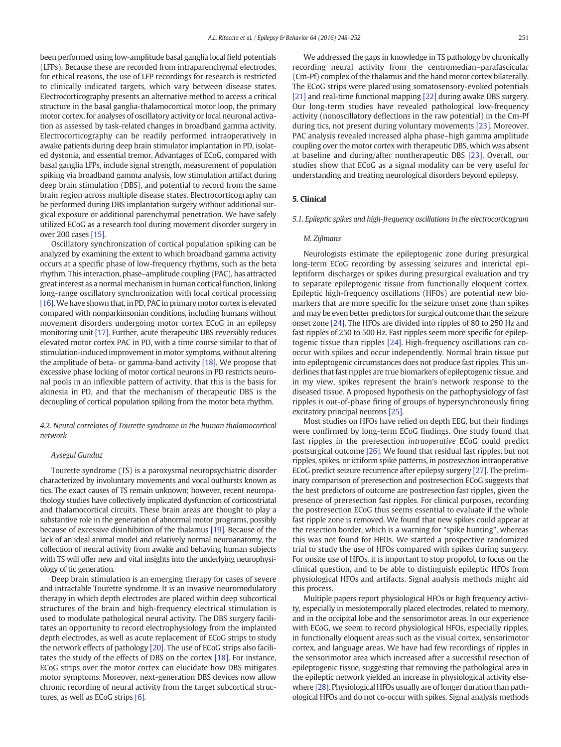<span id="page-3-0"></span>been performed using low-amplitude basal ganglia local field potentials (LFPs). Because these are recorded from intraparenchymal electrodes, for ethical reasons, the use of LFP recordings for research is restricted to clinically indicated targets, which vary between disease states. Electrocorticography presents an alternative method to access a critical structure in the basal ganglia-thalamocortical motor loop, the primary motor cortex, for analyses of oscillatory activity or local neuronal activation as assessed by task-related changes in broadband gamma activity. Electrocorticography can be readily performed intraoperatively in awake patients during deep brain stimulator implantation in PD, isolated dystonia, and essential tremor. Advantages of ECoG, compared with basal ganglia LFPs, include signal strength, measurement of population spiking via broadband gamma analysis, low stimulation artifact during deep brain stimulation (DBS), and potential to record from the same brain region across multiple disease states. Electrocorticography can be performed during DBS implantation surgery without additional surgical exposure or additional parenchymal penetration. We have safely utilized ECoG as a research tool during movement disorder surgery in over 200 cases [\[15\].](#page-4-0)

Oscillatory synchronization of cortical population spiking can be analyzed by examining the extent to which broadband gamma activity occurs at a specific phase of low-frequency rhythms, such as the beta rhythm. This interaction, phase–amplitude coupling (PAC), has attracted great interest as a normal mechanism in human cortical function, linking long-range oscillatory synchronization with local cortical processing [\[16\].](#page-4-0) We have shown that, in PD, PAC in primary motor cortex is elevated compared with nonparkinsonian conditions, including humans without movement disorders undergoing motor cortex ECoG in an epilepsy monitoring unit [\[17\]](#page-4-0). Further, acute therapeutic DBS reversibly reduces elevated motor cortex PAC in PD, with a time course similar to that of stimulation-induced improvement in motor symptoms, without altering the amplitude of beta- or gamma-band activity [\[18\]](#page-4-0). We propose that excessive phase locking of motor cortical neurons in PD restricts neuronal pools in an inflexible pattern of activity, that this is the basis for akinesia in PD, and that the mechanism of therapeutic DBS is the decoupling of cortical population spiking from the motor beta rhythm.

4.2. Neural correlates of Tourette syndrome in the human thalamocortical network

# Aysegul Gunduz

Tourette syndrome (TS) is a paroxysmal neuropsychiatric disorder characterized by involuntary movements and vocal outbursts known as tics. The exact causes of TS remain unknown; however, recent neuropathology studies have collectively implicated dysfunction of corticostriatal and thalamocortical circuits. These brain areas are thought to play a substantive role in the generation of abnormal motor programs, possibly because of excessive disinhibition of the thalamus [\[19\].](#page-4-0) Because of the lack of an ideal animal model and relatively normal neuroanatomy, the collection of neural activity from awake and behaving human subjects with TS will offer new and vital insights into the underlying neurophysiology of tic generation.

Deep brain stimulation is an emerging therapy for cases of severe and intractable Tourette syndrome. It is an invasive neuromodulatory therapy in which depth electrodes are placed within deep subcortical structures of the brain and high-frequency electrical stimulation is used to modulate pathological neural activity. The DBS surgery facilitates an opportunity to record electrophysiology from the implanted depth electrodes, as well as acute replacement of ECoG strips to study the network effects of pathology [\[20\].](#page-4-0) The use of ECoG strips also facilitates the study of the effects of DBS on the cortex [\[18\].](#page-4-0) For instance, ECoG strips over the motor cortex can elucidate how DBS mitigates motor symptoms. Moreover, next-generation DBS devices now allow chronic recording of neural activity from the target subcortical structures, as well as ECoG strips [\[6\]](#page-4-0).

We addressed the gaps in knowledge in TS pathology by chronically recording neural activity from the centromedian–parafascicular (Cm-Pf) complex of the thalamus and the hand motor cortex bilaterally. The ECoG strips were placed using somatosensory-evoked potentials [\[21\]](#page-4-0) and real-time functional mapping [\[22\]](#page-4-0) during awake DBS surgery. Our long-term studies have revealed pathological low-frequency activity (nonoscillatory deflections in the raw potential) in the Cm-Pf during tics, not present during voluntary movements [\[23\]](#page-4-0). Moreover, PAC analysis revealed increased alpha phase–high gamma amplitude coupling over the motor cortex with therapeutic DBS, which was absent at baseline and during/after nontherapeutic DBS [\[23\]](#page-4-0). Overall, our studies show that ECoG as a signal modality can be very useful for understanding and treating neurological disorders beyond epilepsy.

#### 5. Clinical

### 5.1. Epileptic spikes and high-frequency oscillations in the electrocorticogram

#### M. Zijlmans

Neurologists estimate the epileptogenic zone during presurgical long-term ECoG recording by assessing seizures and interictal epileptiform discharges or spikes during presurgical evaluation and try to separate epileptogenic tissue from functionally eloquent cortex. Epileptic high-frequency oscillations (HFOs) are potential new biomarkers that are more specific for the seizure onset zone than spikes and may be even better predictors for surgical outcome than the seizure onset zone [\[24\].](#page-4-0) The HFOs are divided into ripples of 80 to 250 Hz and fast ripples of 250 to 500 Hz. Fast ripples seem more specific for epileptogenic tissue than ripples [\[24\]](#page-4-0). High-frequency oscillations can cooccur with spikes and occur independently. Normal brain tissue put into epileptogenic circumstances does not produce fast ripples. This underlines that fast ripples are true biomarkers of epileptogenic tissue, and in my view, spikes represent the brain's network response to the diseased tissue. A proposed hypothesis on the pathophysiology of fast ripples is out-of-phase firing of groups of hypersynchronously firing excitatory principal neurons [\[25\].](#page-4-0)

Most studies on HFOs have relied on depth EEG, but their findings were confirmed by long-term ECoG findings. One study found that fast ripples in the preresection intraoperative ECoG could predict postsurgical outcome [\[26\]](#page-4-0). We found that residual fast ripples, but not ripples, spikes, or ictiform spike patterns, in postresection intraoperative ECoG predict seizure recurrence after epilepsy surgery [\[27\].](#page-4-0) The preliminary comparison of preresection and postresection ECoG suggests that the best predictors of outcome are postresection fast ripples, given the presence of preresection fast ripples. For clinical purposes, recording the postresection ECoG thus seems essential to evaluate if the whole fast ripple zone is removed. We found that new spikes could appear at the resection border, which is a warning for "spike hunting", whereas this was not found for HFOs. We started a prospective randomized trial to study the use of HFOs compared with spikes during surgery. For onsite use of HFOs, it is important to stop propofol, to focus on the clinical question, and to be able to distinguish epileptic HFOs from physiological HFOs and artifacts. Signal analysis methods might aid this process.

Multiple papers report physiological HFOs or high frequency activity, especially in mesiotemporally placed electrodes, related to memory, and in the occipital lobe and the sensorimotor areas. In our experience with ECoG, we seem to record physiological HFOs, especially ripples, in functionally eloquent areas such as the visual cortex, sensorimotor cortex, and language areas. We have had few recordings of ripples in the sensorimotor area which increased after a successful resection of epileptogenic tissue, suggesting that removing the pathological area in the epileptic network yielded an increase in physiological activity elsewhere [\[28\]](#page-4-0). Physiological HFOs usually are of longer duration than pathological HFOs and do not co-occur with spikes. Signal analysis methods